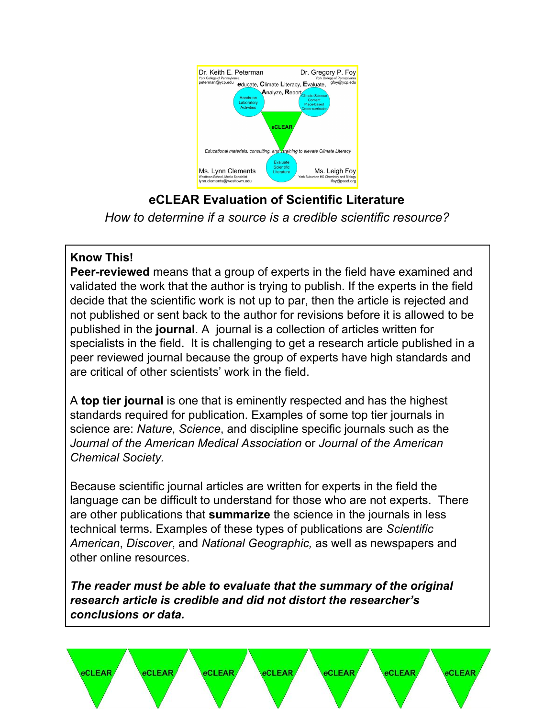

**eCLEAR Evaluation of Scientific Literature** *How to determine if a source is a credible scientific resource?*

### **Know This!**

**Peer-reviewed** means that a group of experts in the field have examined and validated the work that the author is trying to publish. If the experts in the field decide that the scientific work is not up to par, then the article is rejected and not published or sent back to the author for revisions before it is allowed to be published in the **journal**. A journal is a collection of articles written for specialists in the field. It is challenging to get a research article published in a peer reviewed journal because the group of experts have high standards and are critical of other scientists' work in the field.

A **top tier journal** is one that is eminently respected and has the highest standards required for publication. Examples of some top tier journals in science are: *Nature*, *Science*, and discipline specific journals such as the *Journal of the American Medical Association* or *Journal of the American Chemical Society.*

Because scientific journal articles are written for experts in the field the language can be difficult to understand for those who are not experts. There are other publications that **summarize** the science in the journals in less technical terms. Examples of these types of publications are *Scientific American*, *Discover*, and *National Geographic,* as well as newspapers and other online resources.

*The reader must be able to evaluate that the summary of the original research article is credible and did not distort the researcher's conclusions or data.*

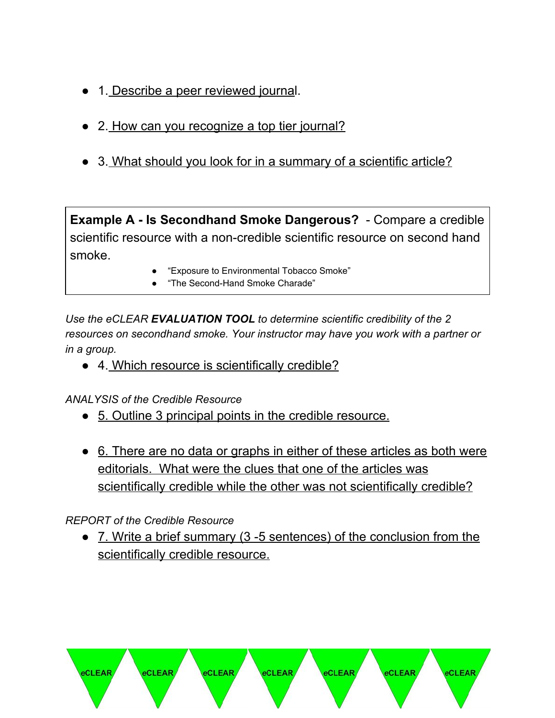- 1. Describe a peer reviewed journal.
- 2. How can you recognize a top tier journal?
- 3. What should you look for in a summary of a scientific article?

**Example A - Is Secondhand Smoke Dangerous?** - Compare a credible scientific resource with a non-credible scientific resource on second hand smoke.

- "Exposure to Environmental Tobacco Smoke"
- "The Second-Hand Smoke Charade"

*Use the eCLEAR EVALUATION TOOL to determine scientific credibility of the 2 resources on secondhand smoke. Your instructor may have you work with a partner or in a group.*

● 4. Which resource is scientifically credible?

*ANALYSIS of the Credible Resource*

- 5. Outline 3 principal points in the credible resource.
- 6. There are no data or graphs in either of these articles as both were editorials. What were the clues that one of the articles was scientifically credible while the other was not scientifically credible?

#### *REPORT of the Credible Resource*

eCLEAR

eCLEAR

eCLEAR

• 7. Write a brief summary (3 -5 sentences) of the conclusion from the scientifically credible resource.

eCLEAR

eCLEAR

eCLEAR

**eCLEAR**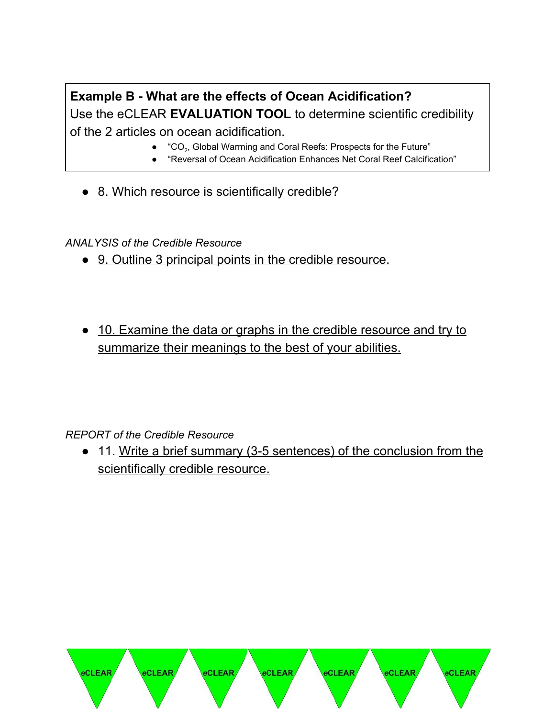# **Example B - What are the effects of Ocean Acidification?** Use the eCLEAR **EVALUATION TOOL** to determine scientific credibility of the 2 articles on ocean acidification.

- $\bullet$  "CO<sub>2</sub>, Global Warming and Coral Reefs: Prospects for the Future"
- "Reversal of Ocean Acidification Enhances Net Coral Reef Calcification"
- 8. Which resource is scientifically credible?

#### *ANALYSIS of the Credible Resource*

- 9. Outline 3 principal points in the credible resource.
- 10. Examine the data or graphs in the credible resource and try to summarize their meanings to the best of your abilities.

#### *REPORT of the Credible Resource*

• 11. Write a brief summary (3-5 sentences) of the conclusion from the scientifically credible resource.

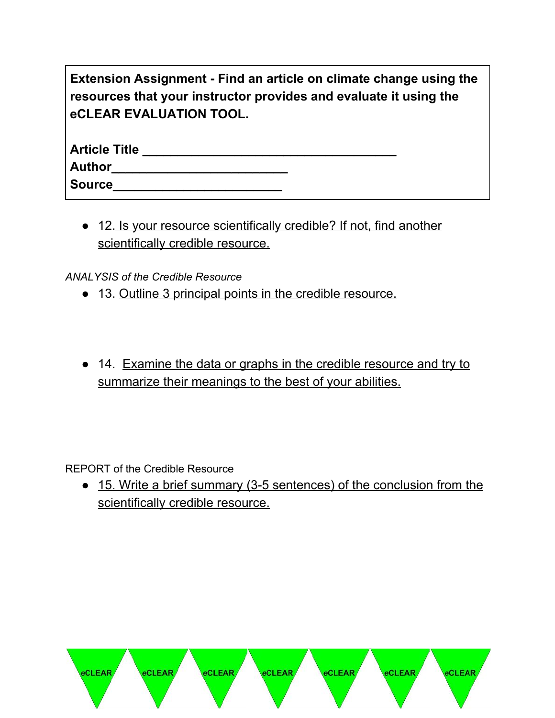| Extension Assignment - Find an article on climate change using the |
|--------------------------------------------------------------------|
| resources that your instructor provides and evaluate it using the  |
| eCLEAR EVALUATION TOOL.                                            |

| <b>Article Title</b> |  |  |  |
|----------------------|--|--|--|
| <b>Author</b>        |  |  |  |
| <b>Source</b>        |  |  |  |

● 12. Is your resource scientifically credible? If not, find another scientifically credible resource.

*ANALYSIS of the Credible Resource*

- 13. Outline 3 principal points in the credible resource.
- 14. Examine the data or graphs in the credible resource and try to summarize their meanings to the best of your abilities.

REPORT of the Credible Resource

• 15. Write a brief summary (3-5 sentences) of the conclusion from the scientifically credible resource.